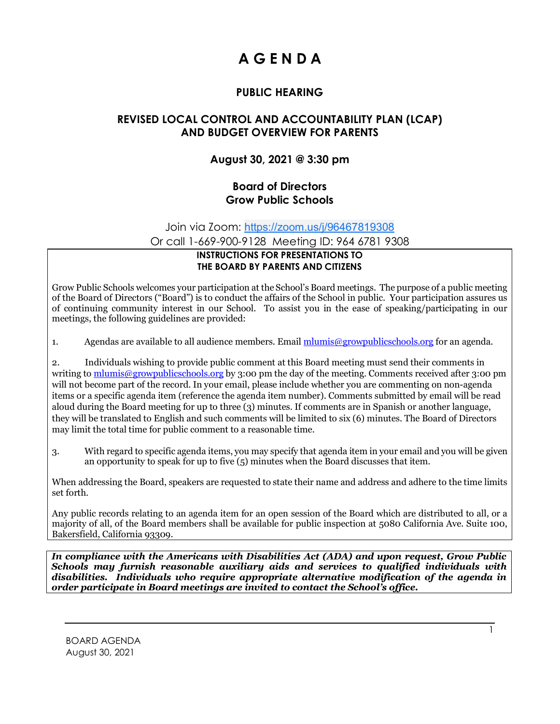# **A G E N D A**

## **PUBLIC HEARING**

#### **REVISED LOCAL CONTROL AND ACCOUNTABILITY PLAN (LCAP) AND BUDGET OVERVIEW FOR PARENTS**

### **August 30, 2021 @ 3:30 pm**

#### **Board of Directors Grow Public Schools**

Join via Zoom: [https://zoom.us/j/96467819308](https://www.google.com/url?q=https://zoom.us/j/96467819308&sa=D&source=calendar&ust=1630185699753691&usg=AOvVaw1SQQVjwPmnIJzwvWek9d7s)

Or call 1-669-900-9128 Meeting ID: 964 6781 9308

#### **INSTRUCTIONS FOR PRESENTATIONS TO THE BOARD BY PARENTS AND CITIZENS**

Grow Public Schools welcomes your participation at the School's Board meetings. The purpose of a public meeting of the Board of Directors ("Board") is to conduct the affairs of the School in public. Your participation assures us of continuing community interest in our School. To assist you in the ease of speaking/participating in our meetings, the following guidelines are provided:

1. Agendas are available to all audience members. Email [mlumis@growpublicschools.org](mailto:mlumis@growpublicschools.org) for an agenda.

2. Individuals wishing to provide public comment at this Board meeting must send their comments in writing to [mlumis@growpublicschools.org](mailto:mlumis@growpublicschools.org) by 3:00 pm the day of the meeting. Comments received after 3:00 pm will not become part of the record. In your email, please include whether you are commenting on non-agenda items or a specific agenda item (reference the agenda item number). Comments submitted by email will be read aloud during the Board meeting for up to three (3) minutes. If comments are in Spanish or another language, they will be translated to English and such comments will be limited to six (6) minutes. The Board of Directors may limit the total time for public comment to a reasonable time.

3. With regard to specific agenda items, you may specify that agenda item in your email and you will be given an opportunity to speak for up to five (5) minutes when the Board discusses that item.

When addressing the Board, speakers are requested to state their name and address and adhere to the time limits set forth.

Any public records relating to an agenda item for an open session of the Board which are distributed to all, or a majority of all, of the Board members shall be available for public inspection at 5080 California Ave. Suite 100, Bakersfield, California 93309.

*In compliance with the Americans with Disabilities Act (ADA) and upon request, Grow Public Schools may furnish reasonable auxiliary aids and services to qualified individuals with disabilities. Individuals who require appropriate alternative modification of the agenda in order participate in Board meetings are invited to contact the School's office.*